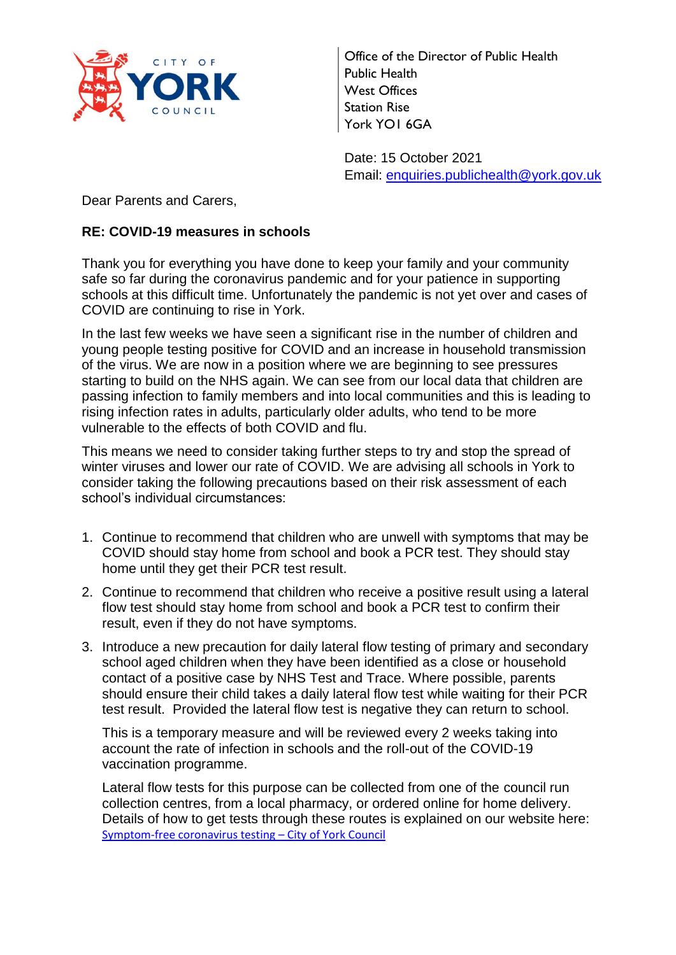

Office of the Director of Public Health Public Health West Offices Station Rise York YO1 6GA

Date: 15 October 2021 Email: [enquiries.publichealth@york.gov.uk](mailto:enquiries.publichealth@york.gov.uk)

Dear Parents and Carers,

## **RE: COVID-19 measures in schools**

Thank you for everything you have done to keep your family and your community safe so far during the coronavirus pandemic and for your patience in supporting schools at this difficult time. Unfortunately the pandemic is not yet over and cases of COVID are continuing to rise in York.

In the last few weeks we have seen a significant rise in the number of children and young people testing positive for COVID and an increase in household transmission of the virus. We are now in a position where we are beginning to see pressures starting to build on the NHS again. We can see from our local data that children are passing infection to family members and into local communities and this is leading to rising infection rates in adults, particularly older adults, who tend to be more vulnerable to the effects of both COVID and flu.

This means we need to consider taking further steps to try and stop the spread of winter viruses and lower our rate of COVID. We are advising all schools in York to consider taking the following precautions based on their risk assessment of each school's individual circumstances:

- 1. Continue to recommend that children who are unwell with symptoms that may be COVID should stay home from school and book a PCR test. They should stay home until they get their PCR test result.
- 2. Continue to recommend that children who receive a positive result using a lateral flow test should stay home from school and book a PCR test to confirm their result, even if they do not have symptoms.
- 3. Introduce a new precaution for daily lateral flow testing of primary and secondary school aged children when they have been identified as a close or household contact of a positive case by NHS Test and Trace. Where possible, parents should ensure their child takes a daily lateral flow test while waiting for their PCR test result. Provided the lateral flow test is negative they can return to school.

This is a temporary measure and will be reviewed every 2 weeks taking into account the rate of infection in schools and the roll-out of the COVID-19 vaccination programme.

Lateral flow tests for this purpose can be collected from one of the council run collection centres, from a local pharmacy, or ordered online for home delivery. Details of how to get tests through these routes is explained on our website here: [Symptom-free coronavirus testing](https://www.york.gov.uk/information-covid1-9/symptom-free-coronavirus-testing/3) – City of York Council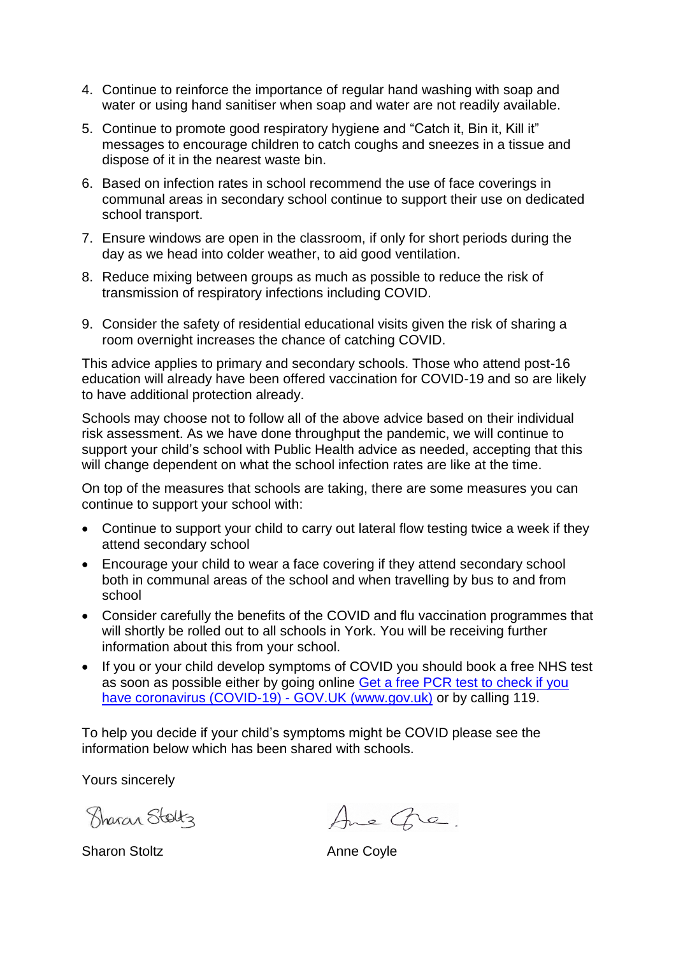- 4. Continue to reinforce the importance of regular hand washing with soap and water or using hand sanitiser when soap and water are not readily available.
- 5. Continue to promote good respiratory hygiene and "Catch it, Bin it, Kill it" messages to encourage children to catch coughs and sneezes in a tissue and dispose of it in the nearest waste bin.
- 6. Based on infection rates in school recommend the use of face coverings in communal areas in secondary school continue to support their use on dedicated school transport.
- 7. Ensure windows are open in the classroom, if only for short periods during the day as we head into colder weather, to aid good ventilation.
- 8. Reduce mixing between groups as much as possible to reduce the risk of transmission of respiratory infections including COVID.
- 9. Consider the safety of residential educational visits given the risk of sharing a room overnight increases the chance of catching COVID.

This advice applies to primary and secondary schools. Those who attend post-16 education will already have been offered vaccination for COVID-19 and so are likely to have additional protection already.

Schools may choose not to follow all of the above advice based on their individual risk assessment. As we have done throughput the pandemic, we will continue to support your child's school with Public Health advice as needed, accepting that this will change dependent on what the school infection rates are like at the time.

On top of the measures that schools are taking, there are some measures you can continue to support your school with:

- Continue to support your child to carry out lateral flow testing twice a week if they attend secondary school
- Encourage your child to wear a face covering if they attend secondary school both in communal areas of the school and when travelling by bus to and from school
- Consider carefully the benefits of the COVID and flu vaccination programmes that will shortly be rolled out to all schools in York. You will be receiving further information about this from your school.
- If you or your child develop symptoms of COVID you should book a free NHS test as soon as possible either by going online [Get a free PCR test to check if you](https://www.gov.uk/get-coronavirus-test)  [have coronavirus \(COVID-19\) -](https://www.gov.uk/get-coronavirus-test) GOV.UK (www.gov.uk) or by calling 119.

To help you decide if your child's symptoms might be COVID please see the information below which has been shared with schools.

Yours sincerely

Sharan Stoltz

Sharon Stoltz **Anne Coyle** 

Ane Gre.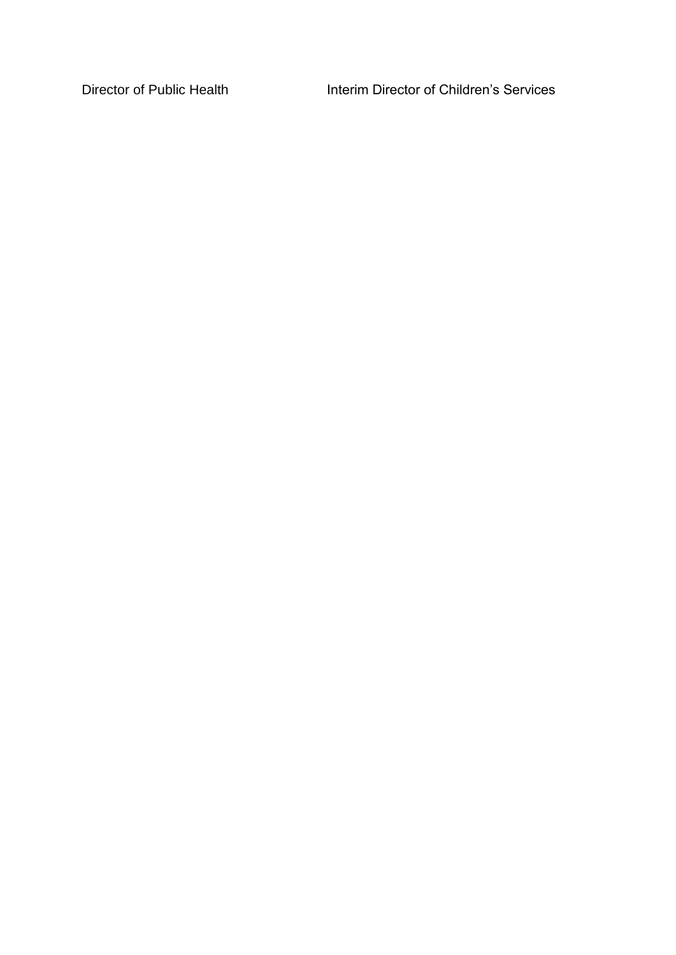Director of Public Health Interim Director of Children's Services